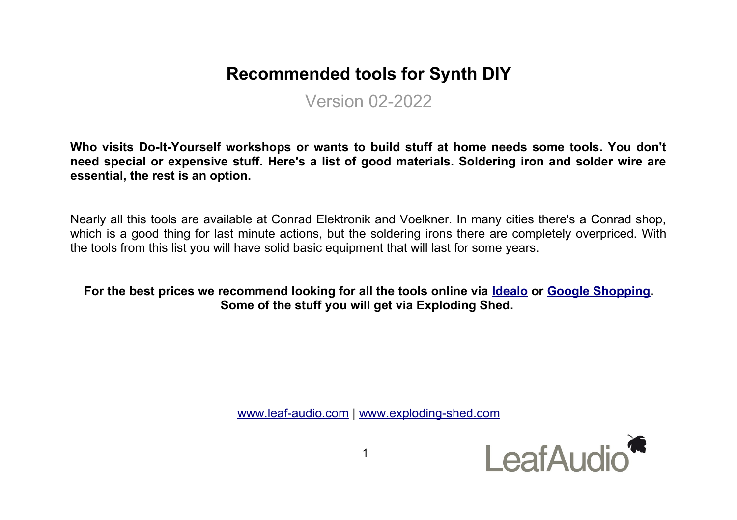# **Recommended tools for Synth DIY**

Version 02-2022

**Who visits Do-It-Yourself workshops or wants to build stuff at home needs some tools. You don't need special or expensive stuff. Here's a list of good materials. Soldering iron and solder wire are essential, the rest is an option.** 

Nearly all this tools are available at Conrad Elektronik and Voelkner. In many cities there's a Conrad shop, which is a good thing for last minute actions, but the soldering irons there are completely overpriced. With the tools from this list you will have solid basic equipment that will last for some years.

**For the best prices we recommend looking for all the tools online via [Idealo](https://www.idealo.de/) or [Google Shopping.](https://www.google.com/) Some of the stuff you will get via Exploding Shed.** 

[www.leaf-audio.com](http://www.leaf-audio.com/) | [www.exploding-shed.com](http://www.exploding-shed.com/)

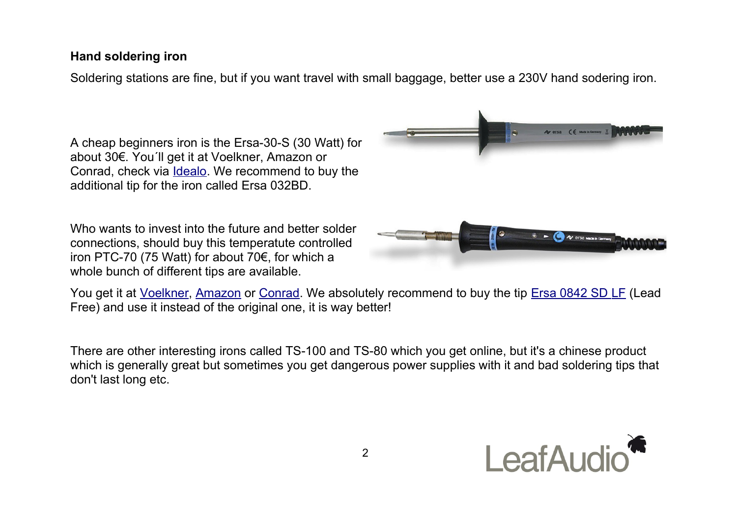## **Hand soldering iron**

Soldering stations are fine, but if you want travel with small baggage, better use a 230V hand sodering iron.

A cheap beginners iron is the Ersa-30-S (30 Watt) for about 30€. You´ll get it at Voelkner, Amazon or Conrad, check via [Idealo.](https://www.idealo.de/preisvergleich/OffersOfProduct/778574_-30s-40w-ersa.html) We recommend to buy the additional tip for the iron called Ersa 032BD.

Who wants to invest into the future and better solder connections, should buy this temperatute controlled iron PTC-70 (75 Watt) for about 70€, for which a whole bunch of different tips are available.



You get it at [Voelkner,](https://www.voelkner.de/products/219552/Ersa-Loetkolben-Ptc70.html) [Amazon](https://www.amazon.de/Ersa-PTC70-Temperaturgeregelter-L%C3%B6tkolben-0710CD/dp/B00505FOF6/ref=sr_1_2?__mk_de_DE=%C3%85M%C3%85%C5%BD%C3%95%C3%91&dchild=1&keywords=Ersa+PTC-70&qid=1587460359&sr=8-2) or [Conrad.](http://www.conrad.de/ce/de/product/588674/Loetkolben-230-V-75-W-Ersa-PTC70-Meisselform-250-bis-450-C) We absolutely recommend to buy the tip [Ersa 0842 SD LF](https://www.voelkner.de/products/5564/Ersa-842-SD-LF-Loetspitze-Bleistiftform-verlaengert-Spitzen-Groesse-0.8mm-Inhalt-1St..html) (Lead Free) and use it instead of the original one, it is way better!

There are other interesting irons called TS-100 and TS-80 which you get online, but it's a chinese product which is generally great but sometimes you get dangerous power supplies with it and bad soldering tips that don't last long etc.

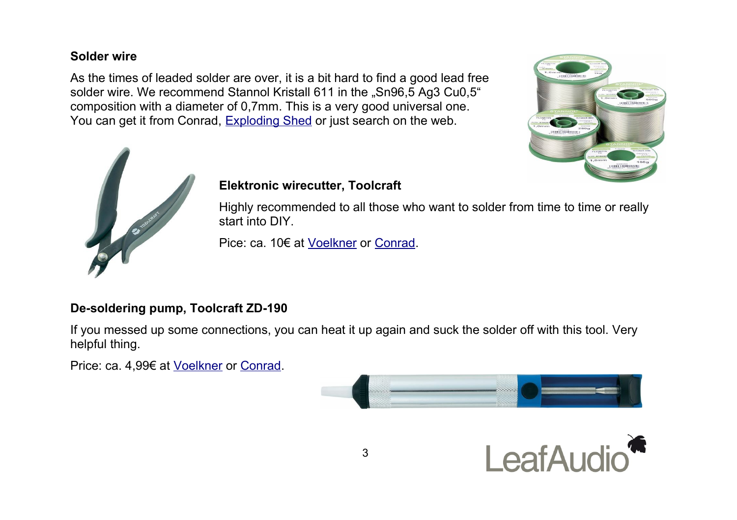## **Solder wire**

As the times of leaded solder are over, it is a bit hard to find a good lead free solder wire. We recommend Stannol Kristall 611 in the "Sn96,5 Ag3 Cu0,5" composition with a diameter of 0,7mm. This is a very good universal one. You can get it from Conrad, [Exploding Shed](http://www.exploding-shed.com/) or just search on the web.





## **Elektronic wirecutter, Toolcraft**

Highly recommended to all those who want to solder from time to time or really start into DIY.

Pice: ca. 10€ at [Voelkner](http://www.voelkner.de/products/138459/Seitenschneider-Printzange-bis-1mm-ohne-Facette.html) or [Conrad.](http://www.conrad.de/ce/de/product/816744/TOOLCRAFT-Elektronik-Printzange-Ausfuehrung-ohne-Facette-Schneidwerte-max-13-mm-816744)

## **De-soldering pump, Toolcraft ZD-190**

If you messed up some connections, you can heat it up again and suck the solder off with this tool. Very helpful thing.

Price: ca. 4,99€ at [Voelkner](http://www.voelkner.de/products/99255/Entloetsaugpumpe-Zd-190.html) or [Conrad.](https://www.conrad.de/de/p/toolcraft-zd-190-entloetsaugpumpe-2253839.html)



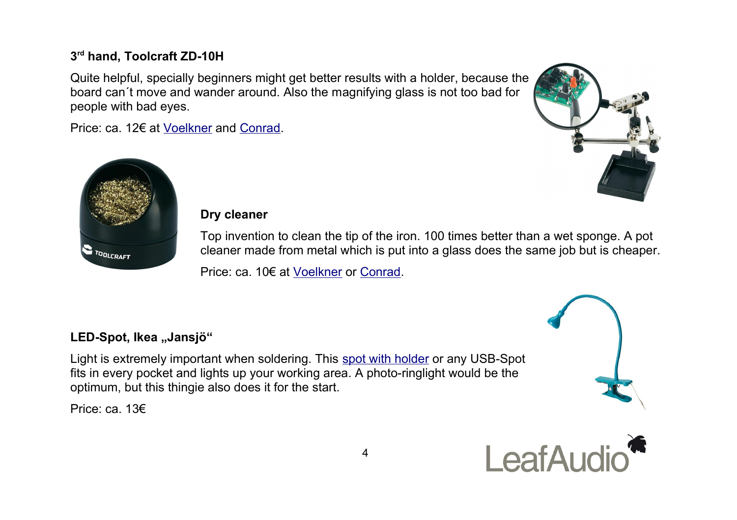# **3 rd hand, Toolcraft ZD-10H**

Quite helpful, specially beginners might get better results with a holder, because the board can´t move and wander around. Also the magnifying glass is not too bad for people with bad eyes.

Price: ca. 12€ at [Voelkner](http://www.voelkner.de/products/174647/3.-Hand-mit-Lupe-Zd-10h.html?frm=ffs__ZD-10H&frm=ffs__ZD-10H) and [Conrad.](https://www.conrad.de/de/p/toolcraft-zd-10h-dritte-hand-l-x-b-x-h-150-x-74-x-120-mm-2269174.html)





#### **Dry cleaner**

Top invention to clean the tip of the iron. 100 times better than a wet sponge. A pot cleaner made from metal which is put into a glass does the same job but is cheaper.

Price: ca. 10€ at [Voelkner](http://www.voelkner.de/products/313021/TOOLCRAFT-Trockenreiniger-2teilig-AT-A900.html) or [Conrad.](http://www.conrad.de/ce/de/product/588819/Trockenreiniger-2teilig-TOOLCRAFT-AT-A900)

# LED-Spot, Ikea "Jansjö"

Light is extremely important when soldering. This [spot with holder](https://www.ikea.com/de/de/search/products/?q=Jansj%C3%B6) or any USB-Spot fits in every pocket and lights up your working area. A photo-ringlight would be the optimum, but this thingie also does it for the start.

Price: ca. 13€